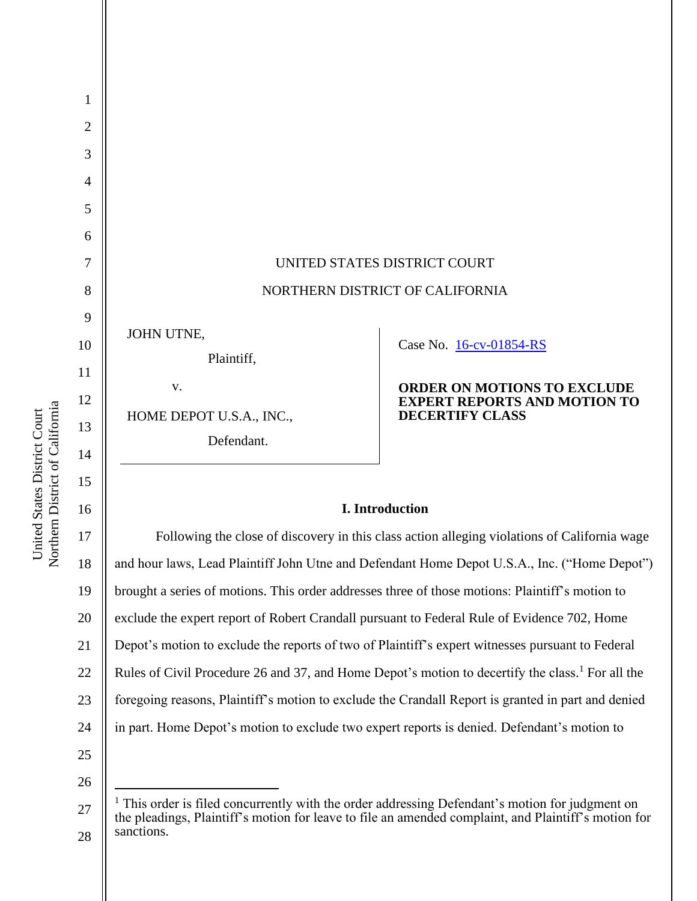

# **I. Introduction**

17 18 19 20 21 22 23 24 25 Following the close of discovery in this class action alleging violations of California wage and hour laws, Lead Plaintiff John Utne and Defendant Home Depot U.S.A., Inc. ("Home Depot") brought a series of motions. This order addresses three of those motions: Plaintiff's motion to exclude the expert report of Robert Crandall pursuant to Federal Rule of Evidence 702, Home Depot's motion to exclude the reports of two of Plaintiff's expert witnesses pursuant to Federal Rules of Civil Procedure 26 and 37, and Home Depot's motion to decertify the class.<sup>1</sup> For all the foregoing reasons, Plaintiff's motion to exclude the Crandall Report is granted in part and denied in part. Home Depot's motion to exclude two expert reports is denied. Defendant's motion to

26

Northern District of California Northern District of California United States District Court United States District Court

<sup>27</sup> 28  $<sup>1</sup>$  This order is filed concurrently with the order addressing Defendant's motion for judgment on</sup> the pleadings, Plaintiff's motion for leave to file an amended complaint, and Plaintiff's motion for sanctions.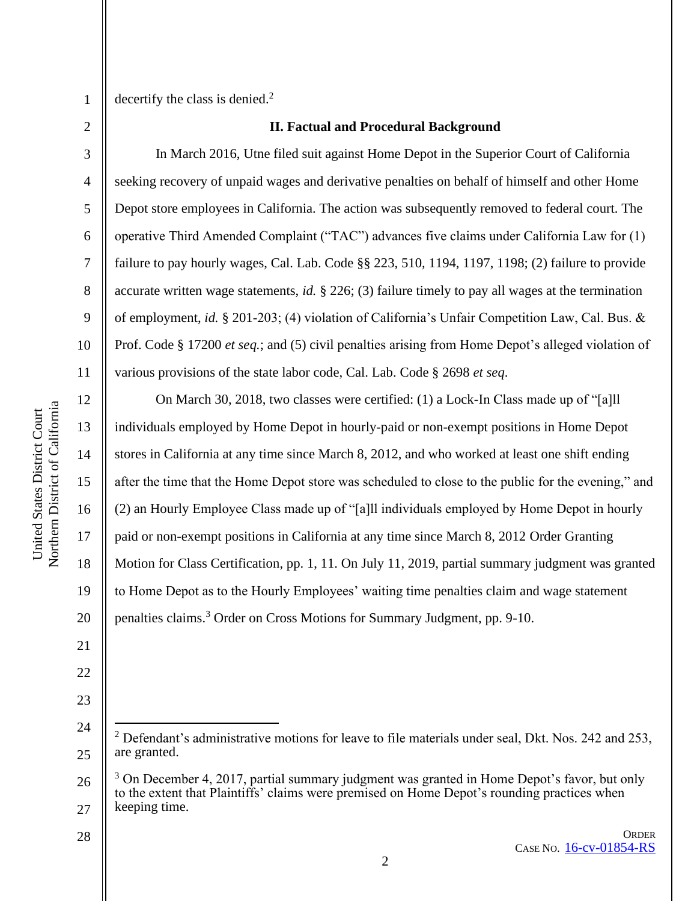4

5

6

7

8

9

10

11

12

13

14

15

17

18

19

21

22

23

24

25

1

decertify the class is denied.<sup>2</sup>

### **II. Factual and Procedural Background**

In March 2016, Utne filed suit against Home Depot in the Superior Court of California seeking recovery of unpaid wages and derivative penalties on behalf of himself and other Home Depot store employees in California. The action was subsequently removed to federal court. The operative Third Amended Complaint ("TAC") advances five claims under California Law for (1) failure to pay hourly wages, Cal. Lab. Code §§ 223, 510, 1194, 1197, 1198; (2) failure to provide accurate written wage statements, *id.* § 226; (3) failure timely to pay all wages at the termination of employment, *id.* § 201-203; (4) violation of California's Unfair Competition Law, Cal. Bus. & Prof. Code § 17200 *et seq.*; and (5) civil penalties arising from Home Depot's alleged violation of various provisions of the state labor code, Cal. Lab. Code § 2698 *et seq*.

16 20 On March 30, 2018, two classes were certified: (1) a Lock-In Class made up of "[a]ll individuals employed by Home Depot in hourly-paid or non-exempt positions in Home Depot stores in California at any time since March 8, 2012, and who worked at least one shift ending after the time that the Home Depot store was scheduled to close to the public for the evening," and (2) an Hourly Employee Class made up of "[a]ll individuals employed by Home Depot in hourly paid or non-exempt positions in California at any time since March 8, 2012 Order Granting Motion for Class Certification, pp. 1, 11. On July 11, 2019, partial summary judgment was granted to Home Depot as to the Hourly Employees' waiting time penalties claim and wage statement penalties claims.<sup>3</sup> Order on Cross Motions for Summary Judgment, pp. 9-10.

 $2$  Defendant's administrative motions for leave to file materials under seal, Dkt. Nos. 242 and 253, are granted.

<sup>26</sup> 27  $3$  On December 4, 2017, partial summary judgment was granted in Home Depot's favor, but only to the extent that Plaintiffs' claims were premised on Home Depot's rounding practices when keeping time.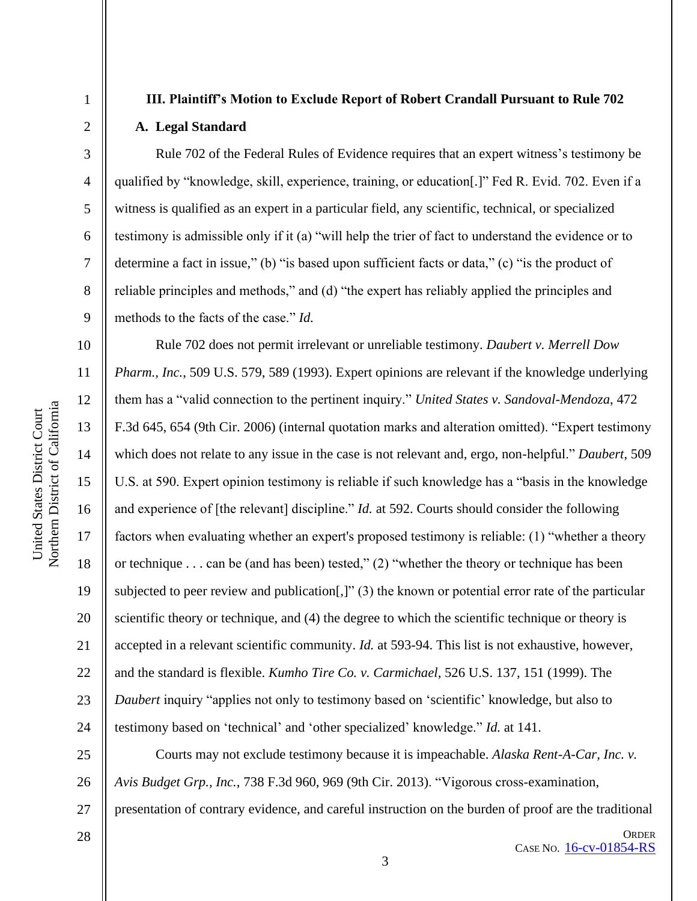1

2

3

4

5

6

7

8

9

# **III. Plaintiff's Motion to Exclude Report of Robert Crandall Pursuant to Rule 702 A. Legal Standard**

Rule 702 of the Federal Rules of Evidence requires that an expert witness's testimony be qualified by "knowledge, skill, experience, training, or education[.]" Fed R. Evid. 702. Even if a witness is qualified as an expert in a particular field, any scientific, technical, or specialized testimony is admissible only if it (a) "will help the trier of fact to understand the evidence or to determine a fact in issue," (b) "is based upon sufficient facts or data," (c) "is the product of reliable principles and methods," and (d) "the expert has reliably applied the principles and methods to the facts of the case." *Id.*

10 11 12 13 14 15 16 17 18 19 20 21 22 23 24 Rule 702 does not permit irrelevant or unreliable testimony. *Daubert v. Merrell Dow Pharm., Inc.*, 509 U.S. 579, 589 (1993). Expert opinions are relevant if the knowledge underlying them has a "valid connection to the pertinent inquiry." *United States v. Sandoval-Mendoza*, 472 F.3d 645, 654 (9th Cir. 2006) (internal quotation marks and alteration omitted). "Expert testimony which does not relate to any issue in the case is not relevant and, ergo, non-helpful." *Daubert*, 509 U.S. at 590. Expert opinion testimony is reliable if such knowledge has a "basis in the knowledge and experience of [the relevant] discipline." *Id.* at 592. Courts should consider the following factors when evaluating whether an expert's proposed testimony is reliable: (1) "whether a theory or technique . . . can be (and has been) tested," (2) "whether the theory or technique has been subjected to peer review and publication[,]" (3) the known or potential error rate of the particular scientific theory or technique, and (4) the degree to which the scientific technique or theory is accepted in a relevant scientific community. *Id.* at 593-94. This list is not exhaustive, however, and the standard is flexible. *Kumho Tire Co. v. Carmichael*, 526 U.S. 137, 151 (1999). The *Daubert* inquiry "applies not only to testimony based on 'scientific' knowledge, but also to testimony based on 'technical' and 'other specialized' knowledge." *Id.* at 141.

25 26 27 Courts may not exclude testimony because it is impeachable. *Alaska Rent-A-Car, Inc. v. Avis Budget Grp., Inc.*, 738 F.3d 960, 969 (9th Cir. 2013). "Vigorous cross-examination, presentation of contrary evidence, and careful instruction on the burden of proof are the traditional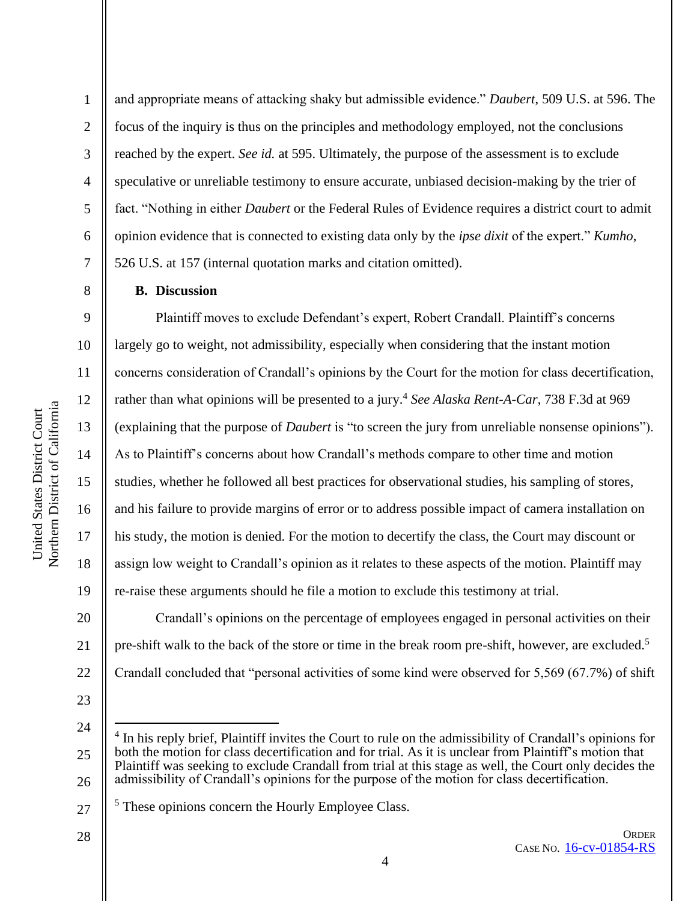2

3

4

5

6

7

8

9

10

11

12

13

14

15

16

17

18

19

20

21

and appropriate means of attacking shaky but admissible evidence." *Daubert*, 509 U.S. at 596. The focus of the inquiry is thus on the principles and methodology employed, not the conclusions reached by the expert. *See id.* at 595. Ultimately, the purpose of the assessment is to exclude speculative or unreliable testimony to ensure accurate, unbiased decision-making by the trier of fact. "Nothing in either *Daubert* or the Federal Rules of Evidence requires a district court to admit opinion evidence that is connected to existing data only by the *ipse dixit* of the expert." *Kumho*, 526 U.S. at 157 (internal quotation marks and citation omitted).

#### **B. Discussion**

Plaintiff moves to exclude Defendant's expert, Robert Crandall. Plaintiff's concerns largely go to weight, not admissibility, especially when considering that the instant motion concerns consideration of Crandall's opinions by the Court for the motion for class decertification, rather than what opinions will be presented to a jury.<sup>4</sup> See Alaska Rent-A-Car, 738 F.3d at 969 (explaining that the purpose of *Daubert* is "to screen the jury from unreliable nonsense opinions"). As to Plaintiff's concerns about how Crandall's methods compare to other time and motion studies, whether he followed all best practices for observational studies, his sampling of stores, and his failure to provide margins of error or to address possible impact of camera installation on his study, the motion is denied. For the motion to decertify the class, the Court may discount or assign low weight to Crandall's opinion as it relates to these aspects of the motion. Plaintiff may re-raise these arguments should he file a motion to exclude this testimony at trial.

22 Crandall's opinions on the percentage of employees engaged in personal activities on their pre-shift walk to the back of the store or time in the break room pre-shift, however, are excluded.<sup>5</sup> Crandall concluded that "personal activities of some kind were observed for 5,569 (67.7%) of shift

23

24

<sup>25</sup> 26 4 In his reply brief, Plaintiff invites the Court to rule on the admissibility of Crandall's opinions for both the motion for class decertification and for trial. As it is unclear from Plaintiff's motion that Plaintiff was seeking to exclude Crandall from trial at this stage as well, the Court only decides the admissibility of Crandall's opinions for the purpose of the motion for class decertification.

<sup>27</sup> <sup>5</sup> These opinions concern the Hourly Employee Class.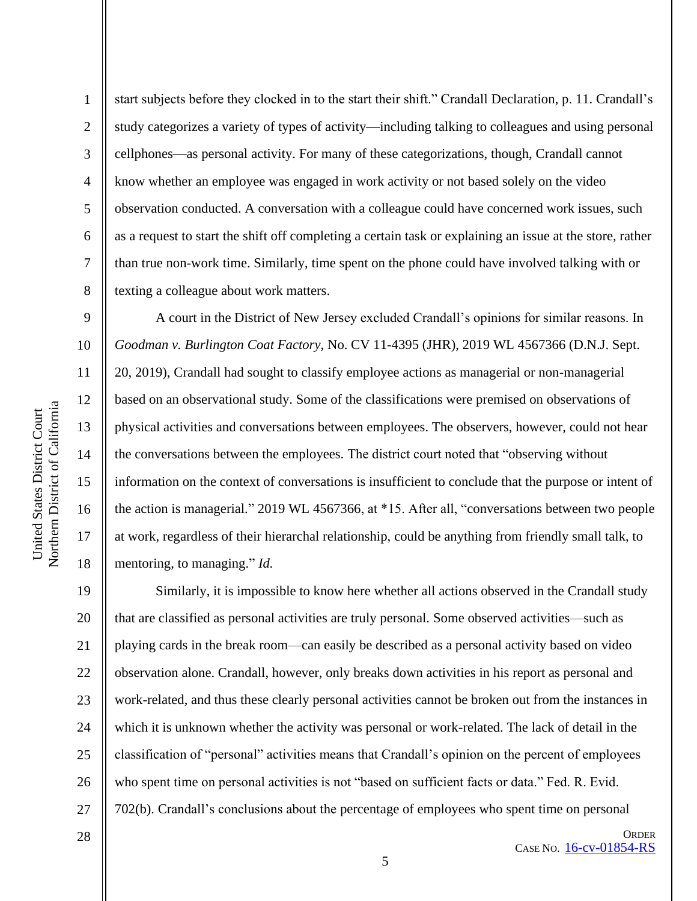1

2

3

4

5

6

7

8

9

10

11

12

13

14

15

16

17

18

start subjects before they clocked in to the start their shift." Crandall Declaration, p. 11. Crandall's study categorizes a variety of types of activity—including talking to colleagues and using personal cellphones—as personal activity. For many of these categorizations, though, Crandall cannot know whether an employee was engaged in work activity or not based solely on the video observation conducted. A conversation with a colleague could have concerned work issues, such as a request to start the shift off completing a certain task or explaining an issue at the store, rather than true non-work time. Similarly, time spent on the phone could have involved talking with or texting a colleague about work matters.

A court in the District of New Jersey excluded Crandall's opinions for similar reasons. In *Goodman v. Burlington Coat Factory*, No. CV 11-4395 (JHR), 2019 WL 4567366 (D.N.J. Sept. 20, 2019), Crandall had sought to classify employee actions as managerial or non-managerial based on an observational study. Some of the classifications were premised on observations of physical activities and conversations between employees. The observers, however, could not hear the conversations between the employees. The district court noted that "observing without information on the context of conversations is insufficient to conclude that the purpose or intent of the action is managerial." 2019 WL 4567366, at \*15. After all, "conversations between two people at work, regardless of their hierarchal relationship, could be anything from friendly small talk, to mentoring, to managing." *Id.*

19 20 21 22 23 24 25 26 27 Similarly, it is impossible to know here whether all actions observed in the Crandall study that are classified as personal activities are truly personal. Some observed activities—such as playing cards in the break room—can easily be described as a personal activity based on video observation alone. Crandall, however, only breaks down activities in his report as personal and work-related, and thus these clearly personal activities cannot be broken out from the instances in which it is unknown whether the activity was personal or work-related. The lack of detail in the classification of "personal" activities means that Crandall's opinion on the percent of employees who spent time on personal activities is not "based on sufficient facts or data." Fed. R. Evid. 702(b). Crandall's conclusions about the percentage of employees who spent time on personal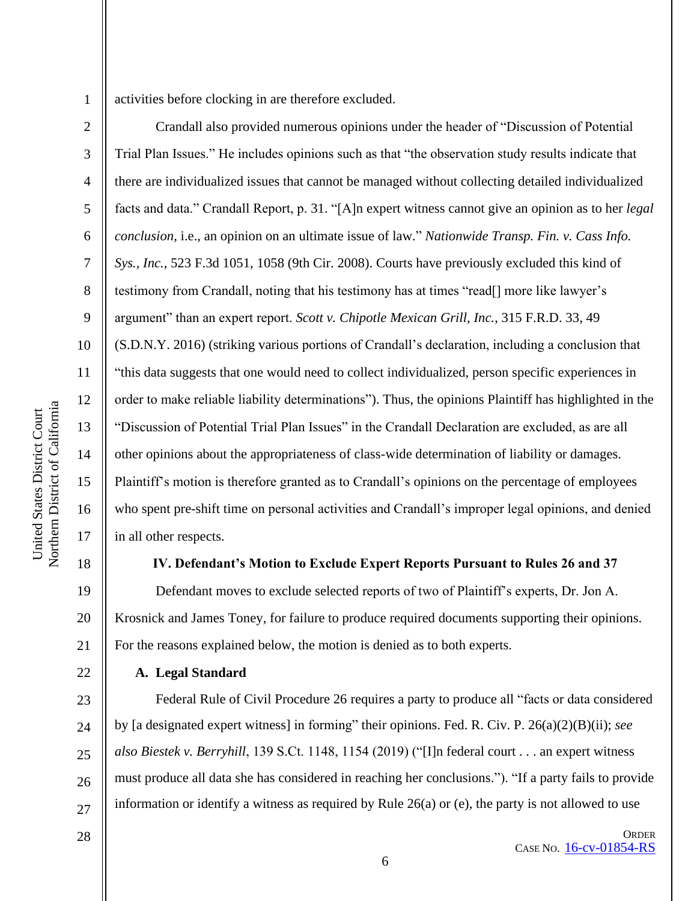activities before clocking in are therefore excluded.

2 3 4 5 6 7 8 9 10 11 12 13 14 15 16 17 Crandall also provided numerous opinions under the header of "Discussion of Potential Trial Plan Issues." He includes opinions such as that "the observation study results indicate that there are individualized issues that cannot be managed without collecting detailed individualized facts and data." Crandall Report, p. 31. "[A]n expert witness cannot give an opinion as to her *legal conclusion*, i.e., an opinion on an ultimate issue of law." *Nationwide Transp. Fin. v. Cass Info. Sys., Inc.*, 523 F.3d 1051, 1058 (9th Cir. 2008). Courts have previously excluded this kind of testimony from Crandall, noting that his testimony has at times "read[] more like lawyer's argument" than an expert report. *Scott v. Chipotle Mexican Grill, Inc.*, 315 F.R.D. 33, 49 (S.D.N.Y. 2016) (striking various portions of Crandall's declaration, including a conclusion that "this data suggests that one would need to collect individualized, person specific experiences in order to make reliable liability determinations"). Thus, the opinions Plaintiff has highlighted in the "Discussion of Potential Trial Plan Issues" in the Crandall Declaration are excluded, as are all other opinions about the appropriateness of class-wide determination of liability or damages. Plaintiff's motion is therefore granted as to Crandall's opinions on the percentage of employees who spent pre-shift time on personal activities and Crandall's improper legal opinions, and denied in all other respects.

#### 18

19

United States District Court Northern District of California

Northern District of California United States District Court

21

22

# **IV. Defendant's Motion to Exclude Expert Reports Pursuant to Rules 26 and 37**

20 Defendant moves to exclude selected reports of two of Plaintiff's experts, Dr. Jon A. Krosnick and James Toney, for failure to produce required documents supporting their opinions. For the reasons explained below, the motion is denied as to both experts.

# **A. Legal Standard**

23  $24$ 25 26 27 Federal Rule of Civil Procedure 26 requires a party to produce all "facts or data considered by [a designated expert witness] in forming" their opinions. Fed. R. Civ. P. 26(a)(2)(B)(ii); *see also Biestek v. Berryhill*, 139 S.Ct. 1148, 1154 (2019) ("[I]n federal court . . . an expert witness must produce all data she has considered in reaching her conclusions."). "If a party fails to provide information or identify a witness as required by Rule 26(a) or (e), the party is not allowed to use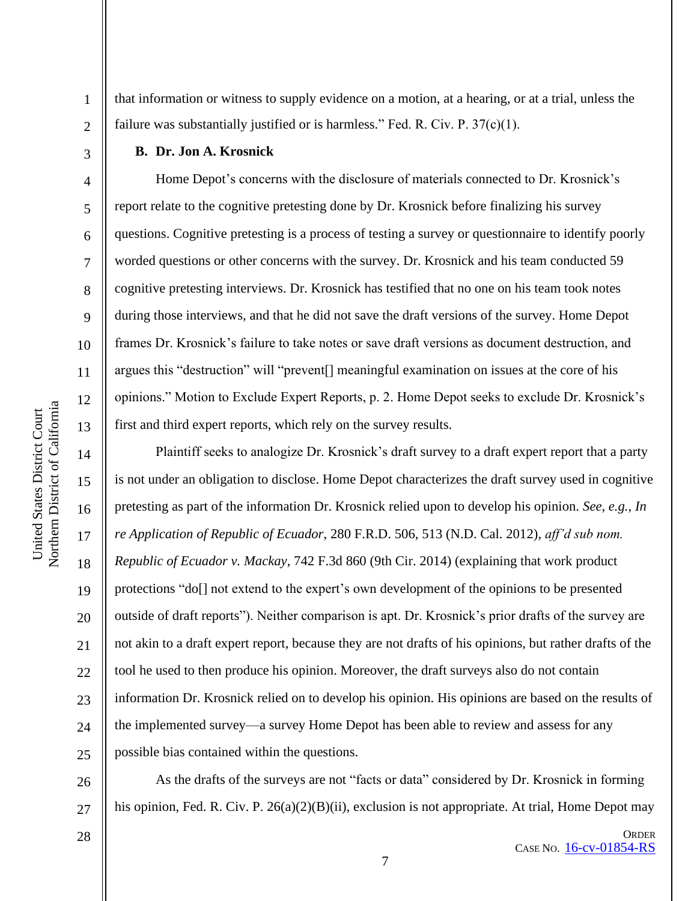1

2

3

4

5

6

7

8

9

10

11

12

13

14

15

16

17

18

19

20

21

22

23

 $24$ 

25

that information or witness to supply evidence on a motion, at a hearing, or at a trial, unless the failure was substantially justified or is harmless." Fed. R. Civ. P. 37(c)(1).

#### **B. Dr. Jon A. Krosnick**

Home Depot's concerns with the disclosure of materials connected to Dr. Krosnick's report relate to the cognitive pretesting done by Dr. Krosnick before finalizing his survey questions. Cognitive pretesting is a process of testing a survey or questionnaire to identify poorly worded questions or other concerns with the survey. Dr. Krosnick and his team conducted 59 cognitive pretesting interviews. Dr. Krosnick has testified that no one on his team took notes during those interviews, and that he did not save the draft versions of the survey. Home Depot frames Dr. Krosnick's failure to take notes or save draft versions as document destruction, and argues this "destruction" will "prevent[] meaningful examination on issues at the core of his opinions." Motion to Exclude Expert Reports, p. 2. Home Depot seeks to exclude Dr. Krosnick's first and third expert reports, which rely on the survey results.

Plaintiff seeks to analogize Dr. Krosnick's draft survey to a draft expert report that a party is not under an obligation to disclose. Home Depot characterizes the draft survey used in cognitive pretesting as part of the information Dr. Krosnick relied upon to develop his opinion. *See, e.g., In re Application of Republic of Ecuador*, 280 F.R.D. 506, 513 (N.D. Cal. 2012), *aff'd sub nom. Republic of Ecuador v. Mackay*, 742 F.3d 860 (9th Cir. 2014) (explaining that work product protections "do[] not extend to the expert's own development of the opinions to be presented outside of draft reports"). Neither comparison is apt. Dr. Krosnick's prior drafts of the survey are not akin to a draft expert report, because they are not drafts of his opinions, but rather drafts of the tool he used to then produce his opinion. Moreover, the draft surveys also do not contain information Dr. Krosnick relied on to develop his opinion. His opinions are based on the results of the implemented survey—a survey Home Depot has been able to review and assess for any possible bias contained within the questions.

26

As the drafts of the surveys are not "facts or data" considered by Dr. Krosnick in forming his opinion, Fed. R. Civ. P. 26(a)(2)(B)(ii), exclusion is not appropriate. At trial, Home Depot may

28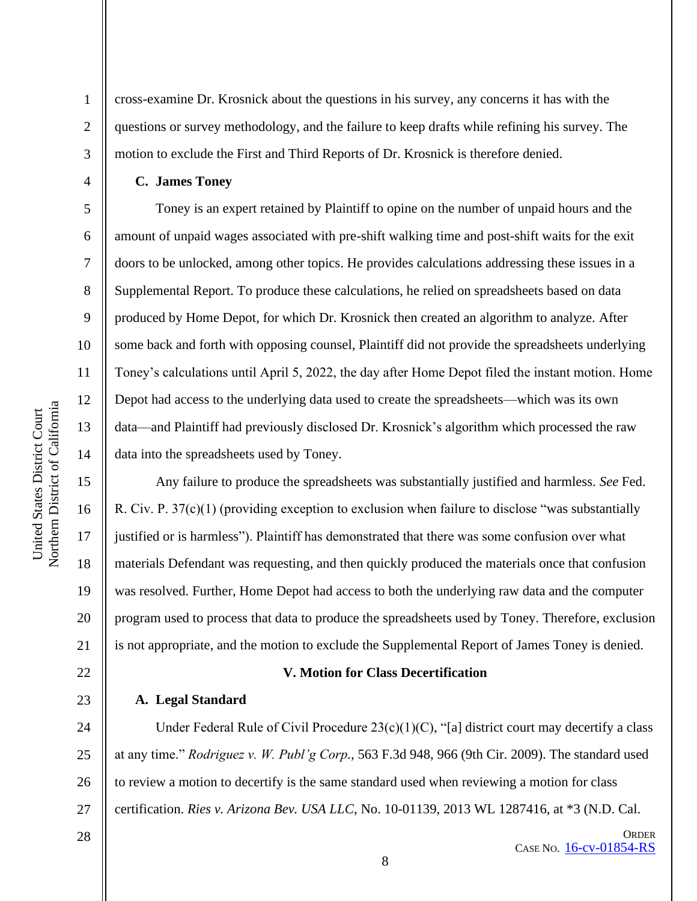cross-examine Dr. Krosnick about the questions in his survey, any concerns it has with the questions or survey methodology, and the failure to keep drafts while refining his survey. The motion to exclude the First and Third Reports of Dr. Krosnick is therefore denied.

**C. James Toney**

1

2

3

4

5

6

7

8

9

10

11

12

13

14

15

16

17

18

19

20

21

22

23

Toney is an expert retained by Plaintiff to opine on the number of unpaid hours and the amount of unpaid wages associated with pre-shift walking time and post-shift waits for the exit doors to be unlocked, among other topics. He provides calculations addressing these issues in a Supplemental Report. To produce these calculations, he relied on spreadsheets based on data produced by Home Depot, for which Dr. Krosnick then created an algorithm to analyze. After some back and forth with opposing counsel, Plaintiff did not provide the spreadsheets underlying Toney's calculations until April 5, 2022, the day after Home Depot filed the instant motion. Home Depot had access to the underlying data used to create the spreadsheets—which was its own data—and Plaintiff had previously disclosed Dr. Krosnick's algorithm which processed the raw data into the spreadsheets used by Toney.

Any failure to produce the spreadsheets was substantially justified and harmless. *See* Fed. R. Civ. P. 37(c)(1) (providing exception to exclusion when failure to disclose "was substantially justified or is harmless"). Plaintiff has demonstrated that there was some confusion over what materials Defendant was requesting, and then quickly produced the materials once that confusion was resolved. Further, Home Depot had access to both the underlying raw data and the computer program used to process that data to produce the spreadsheets used by Toney. Therefore, exclusion is not appropriate, and the motion to exclude the Supplemental Report of James Toney is denied.

#### **V. Motion for Class Decertification**

#### **A. Legal Standard**

24 25 26 27 Under Federal Rule of Civil Procedure  $23(c)(1)(C)$ , "[a] district court may decertify a class at any time." *Rodriguez v. W. Publ'g Corp.*, 563 F.3d 948, 966 (9th Cir. 2009). The standard used to review a motion to decertify is the same standard used when reviewing a motion for class certification. *Ries v. Arizona Bev. USA LLC*, No. 10-01139, 2013 WL 1287416, at \*3 (N.D. Cal.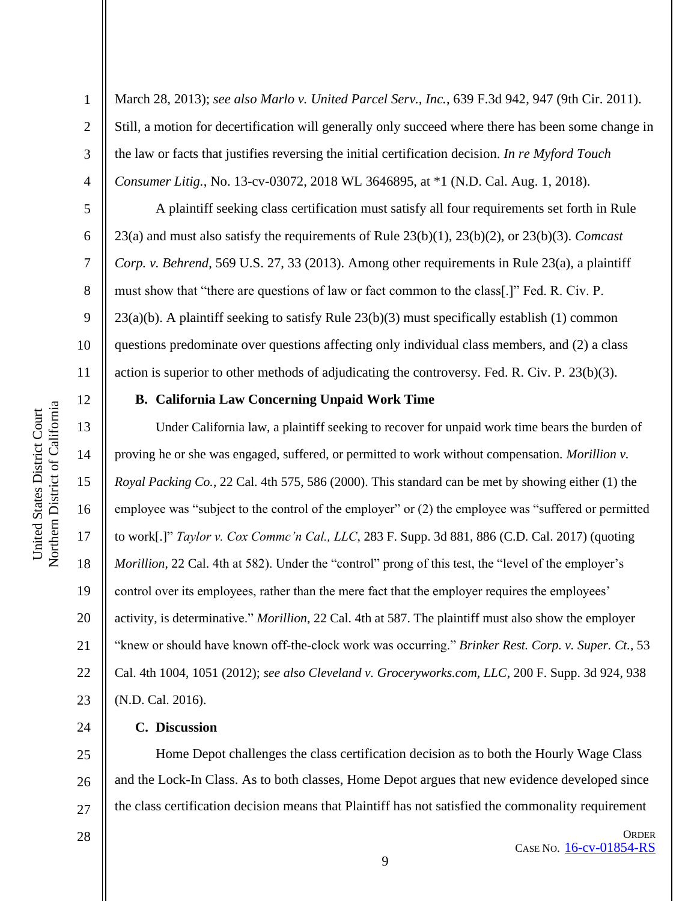March 28, 2013); *see also Marlo v. United Parcel Serv., Inc.*, 639 F.3d 942, 947 (9th Cir. 2011). Still, a motion for decertification will generally only succeed where there has been some change in the law or facts that justifies reversing the initial certification decision. *In re Myford Touch Consumer Litig.*, No. 13-cv-03072, 2018 WL 3646895, at \*1 (N.D. Cal. Aug. 1, 2018).

A plaintiff seeking class certification must satisfy all four requirements set forth in Rule 23(a) and must also satisfy the requirements of Rule 23(b)(1), 23(b)(2), or 23(b)(3). *Comcast Corp. v. Behrend*, 569 U.S. 27, 33 (2013). Among other requirements in Rule 23(a), a plaintiff must show that "there are questions of law or fact common to the class[.]" Fed. R. Civ. P. 23(a)(b). A plaintiff seeking to satisfy Rule 23(b)(3) must specifically establish (1) common questions predominate over questions affecting only individual class members, and (2) a class action is superior to other methods of adjudicating the controversy. Fed. R. Civ. P. 23(b)(3).

# 12

13

14

15

16

17

18

19

20

21

22

23

24

1

2

3

4

5

6

7

8

9

10

11

#### **B. California Law Concerning Unpaid Work Time**

Under California law, a plaintiff seeking to recover for unpaid work time bears the burden of proving he or she was engaged, suffered, or permitted to work without compensation. *Morillion v. Royal Packing Co.*, 22 Cal. 4th 575, 586 (2000). This standard can be met by showing either (1) the employee was "subject to the control of the employer" or (2) the employee was "suffered or permitted to work[.]" *Taylor v. Cox Commc'n Cal., LLC*, 283 F. Supp. 3d 881, 886 (C.D. Cal. 2017) (quoting *Morillion*, 22 Cal. 4th at 582). Under the "control" prong of this test, the "level of the employer's control over its employees, rather than the mere fact that the employer requires the employees' activity, is determinative." *Morillion*, 22 Cal. 4th at 587. The plaintiff must also show the employer "knew or should have known off-the-clock work was occurring." *Brinker Rest. Corp. v. Super. Ct.*, 53 Cal. 4th 1004, 1051 (2012); *see also Cleveland v. Groceryworks.com, LLC*, 200 F. Supp. 3d 924, 938 (N.D. Cal. 2016).

# **C. Discussion**

25 26 27 Home Depot challenges the class certification decision as to both the Hourly Wage Class and the Lock-In Class. As to both classes, Home Depot argues that new evidence developed since the class certification decision means that Plaintiff has not satisfied the commonality requirement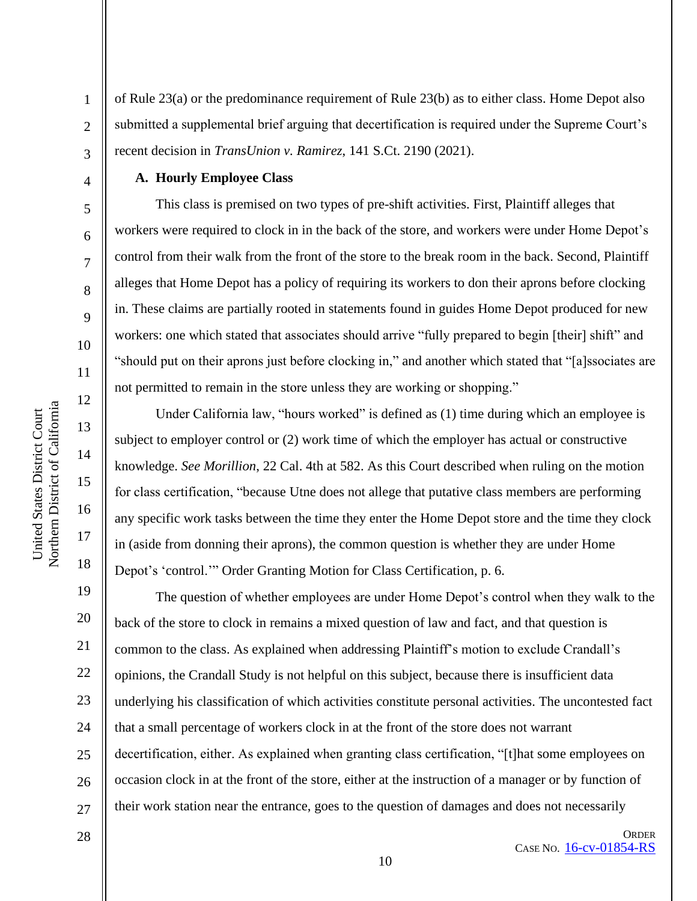of Rule 23(a) or the predominance requirement of Rule 23(b) as to either class. Home Depot also submitted a supplemental brief arguing that decertification is required under the Supreme Court's recent decision in *TransUnion v. Ramirez*, 141 S.Ct. 2190 (2021).

#### **A. Hourly Employee Class**

This class is premised on two types of pre-shift activities. First, Plaintiff alleges that workers were required to clock in in the back of the store, and workers were under Home Depot's control from their walk from the front of the store to the break room in the back. Second, Plaintiff alleges that Home Depot has a policy of requiring its workers to don their aprons before clocking in. These claims are partially rooted in statements found in guides Home Depot produced for new workers: one which stated that associates should arrive "fully prepared to begin [their] shift" and "should put on their aprons just before clocking in," and another which stated that "[a]ssociates are not permitted to remain in the store unless they are working or shopping."

Under California law, "hours worked" is defined as (1) time during which an employee is subject to employer control or (2) work time of which the employer has actual or constructive knowledge. *See Morillion*, 22 Cal. 4th at 582. As this Court described when ruling on the motion for class certification, "because Utne does not allege that putative class members are performing any specific work tasks between the time they enter the Home Depot store and the time they clock in (aside from donning their aprons), the common question is whether they are under Home Depot's 'control.'" Order Granting Motion for Class Certification, p. 6.

The question of whether employees are under Home Depot's control when they walk to the back of the store to clock in remains a mixed question of law and fact, and that question is common to the class. As explained when addressing Plaintiff's motion to exclude Crandall's opinions, the Crandall Study is not helpful on this subject, because there is insufficient data underlying his classification of which activities constitute personal activities. The uncontested fact that a small percentage of workers clock in at the front of the store does not warrant decertification, either. As explained when granting class certification, "[t]hat some employees on occasion clock in at the front of the store, either at the instruction of a manager or by function of their work station near the entrance, goes to the question of damages and does not necessarily

10

1

2

3

4

5

6

7

8

9

10

11

12

13

14

15

16

17

18

19

20

21

22

23

24

25

26

27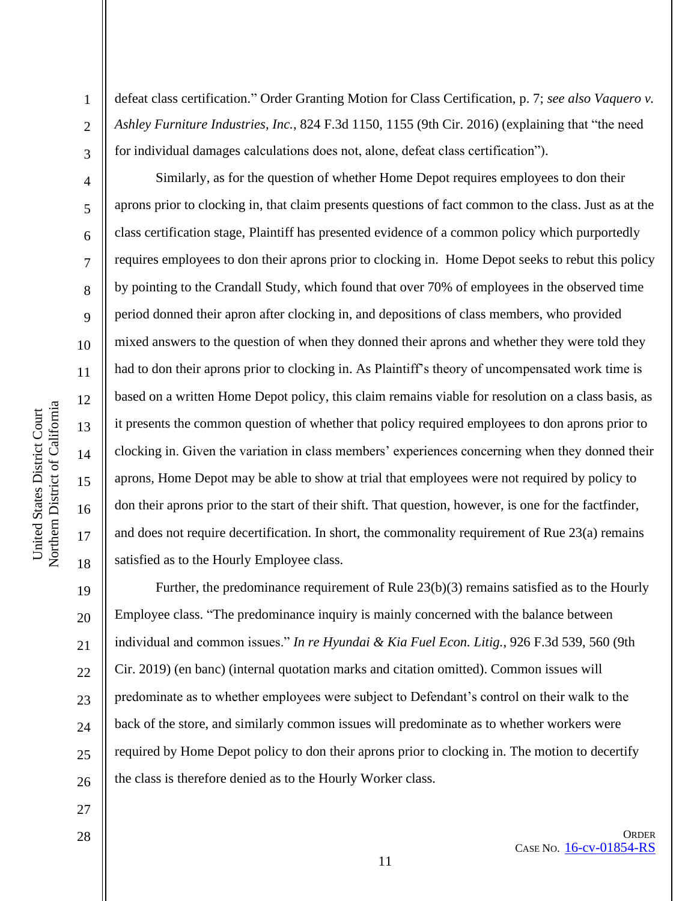1

2

3

4

5

6

7

8

9

10

11

12

13

14

15

16

17

18

defeat class certification." Order Granting Motion for Class Certification, p. 7; *see also Vaquero v. Ashley Furniture Industries, Inc.*, 824 F.3d 1150, 1155 (9th Cir. 2016) (explaining that "the need for individual damages calculations does not, alone, defeat class certification").

Similarly, as for the question of whether Home Depot requires employees to don their aprons prior to clocking in, that claim presents questions of fact common to the class. Just as at the class certification stage, Plaintiff has presented evidence of a common policy which purportedly requires employees to don their aprons prior to clocking in. Home Depot seeks to rebut this policy by pointing to the Crandall Study, which found that over 70% of employees in the observed time period donned their apron after clocking in, and depositions of class members, who provided mixed answers to the question of when they donned their aprons and whether they were told they had to don their aprons prior to clocking in. As Plaintiff's theory of uncompensated work time is based on a written Home Depot policy, this claim remains viable for resolution on a class basis, as it presents the common question of whether that policy required employees to don aprons prior to clocking in. Given the variation in class members' experiences concerning when they donned their aprons, Home Depot may be able to show at trial that employees were not required by policy to don their aprons prior to the start of their shift. That question, however, is one for the factfinder, and does not require decertification. In short, the commonality requirement of Rue 23(a) remains satisfied as to the Hourly Employee class.

19 20 21 22 23  $24$ 25 26 Further, the predominance requirement of Rule 23(b)(3) remains satisfied as to the Hourly Employee class. "The predominance inquiry is mainly concerned with the balance between individual and common issues." *In re Hyundai & Kia Fuel Econ. Litig.*, 926 F.3d 539, 560 (9th Cir. 2019) (en banc) (internal quotation marks and citation omitted). Common issues will predominate as to whether employees were subject to Defendant's control on their walk to the back of the store, and similarly common issues will predominate as to whether workers were required by Home Depot policy to don their aprons prior to clocking in. The motion to decertify the class is therefore denied as to the Hourly Worker class.

28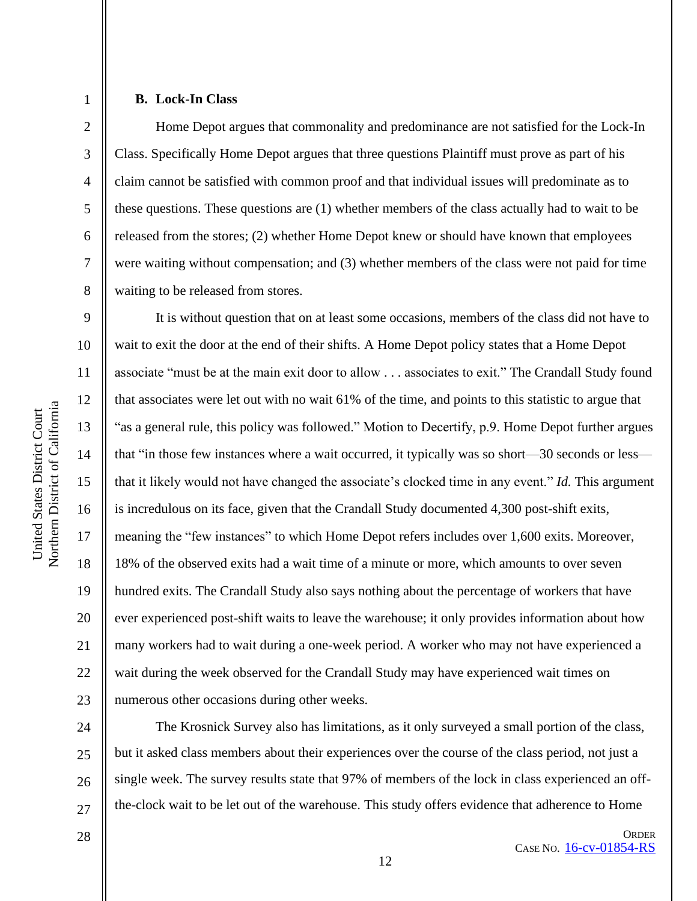#### **B. Lock-In Class**

1

2

3

4

5

6

7

8

9

10

11

12

13

14

15

16

17

18

19

20

21

22

23

28

Home Depot argues that commonality and predominance are not satisfied for the Lock-In Class. Specifically Home Depot argues that three questions Plaintiff must prove as part of his claim cannot be satisfied with common proof and that individual issues will predominate as to these questions. These questions are (1) whether members of the class actually had to wait to be released from the stores; (2) whether Home Depot knew or should have known that employees were waiting without compensation; and (3) whether members of the class were not paid for time waiting to be released from stores.

It is without question that on at least some occasions, members of the class did not have to wait to exit the door at the end of their shifts. A Home Depot policy states that a Home Depot associate "must be at the main exit door to allow . . . associates to exit." The Crandall Study found that associates were let out with no wait 61% of the time, and points to this statistic to argue that "as a general rule, this policy was followed." Motion to Decertify, p.9. Home Depot further argues that "in those few instances where a wait occurred, it typically was so short—30 seconds or less that it likely would not have changed the associate's clocked time in any event." *Id.* This argument is incredulous on its face, given that the Crandall Study documented 4,300 post-shift exits, meaning the "few instances" to which Home Depot refers includes over 1,600 exits. Moreover, 18% of the observed exits had a wait time of a minute or more, which amounts to over seven hundred exits. The Crandall Study also says nothing about the percentage of workers that have ever experienced post-shift waits to leave the warehouse; it only provides information about how many workers had to wait during a one-week period. A worker who may not have experienced a wait during the week observed for the Crandall Study may have experienced wait times on numerous other occasions during other weeks.

24 25 26 27 The Krosnick Survey also has limitations, as it only surveyed a small portion of the class, but it asked class members about their experiences over the course of the class period, not just a single week. The survey results state that 97% of members of the lock in class experienced an offthe-clock wait to be let out of the warehouse. This study offers evidence that adherence to Home

**ORDER** CASE NO. [16-cv-01854-RS](https://cand-ecf.sso.dcn/cgi-bin/DktRpt.pl?297587)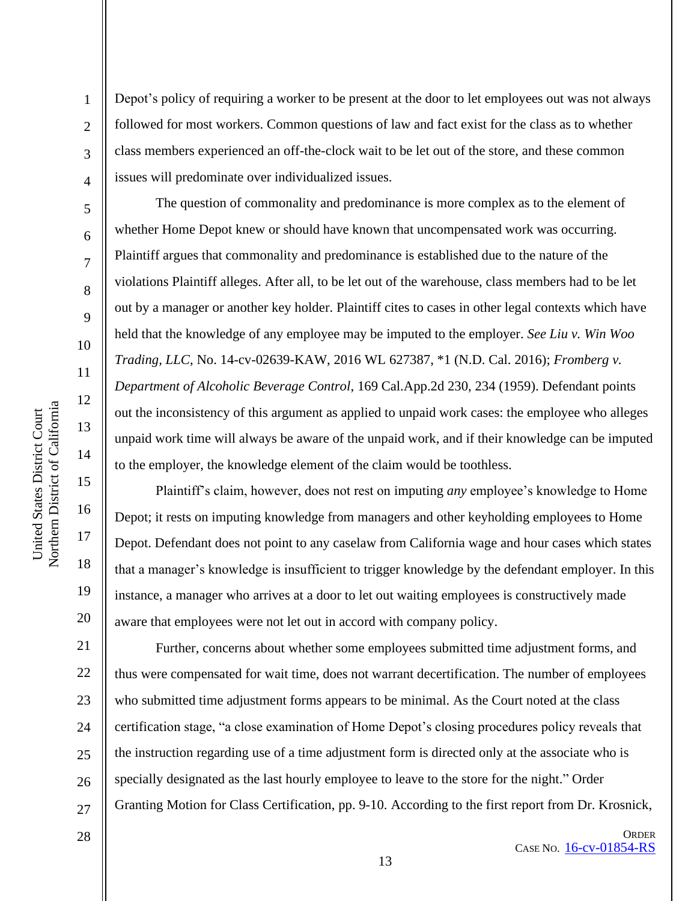1

2

3

4

5

6

7

8

9

10

11

12

13

14

15

16

17

18

19

20

21

22

23

24

25

26

27

Depot's policy of requiring a worker to be present at the door to let employees out was not always followed for most workers. Common questions of law and fact exist for the class as to whether class members experienced an off-the-clock wait to be let out of the store, and these common issues will predominate over individualized issues.

The question of commonality and predominance is more complex as to the element of whether Home Depot knew or should have known that uncompensated work was occurring. Plaintiff argues that commonality and predominance is established due to the nature of the violations Plaintiff alleges. After all, to be let out of the warehouse, class members had to be let out by a manager or another key holder. Plaintiff cites to cases in other legal contexts which have held that the knowledge of any employee may be imputed to the employer. *See Liu v. Win Woo Trading, LLC*, No. 14-cv-02639-KAW, 2016 WL 627387, \*1 (N.D. Cal. 2016); *Fromberg v. Department of Alcoholic Beverage Control*, 169 Cal.App.2d 230, 234 (1959). Defendant points out the inconsistency of this argument as applied to unpaid work cases: the employee who alleges unpaid work time will always be aware of the unpaid work, and if their knowledge can be imputed to the employer, the knowledge element of the claim would be toothless.

Plaintiff's claim, however, does not rest on imputing *any* employee's knowledge to Home Depot; it rests on imputing knowledge from managers and other keyholding employees to Home Depot. Defendant does not point to any caselaw from California wage and hour cases which states that a manager's knowledge is insufficient to trigger knowledge by the defendant employer. In this instance, a manager who arrives at a door to let out waiting employees is constructively made aware that employees were not let out in accord with company policy.

Further, concerns about whether some employees submitted time adjustment forms, and thus were compensated for wait time, does not warrant decertification. The number of employees who submitted time adjustment forms appears to be minimal. As the Court noted at the class certification stage, "a close examination of Home Depot's closing procedures policy reveals that the instruction regarding use of a time adjustment form is directed only at the associate who is specially designated as the last hourly employee to leave to the store for the night." Order Granting Motion for Class Certification, pp. 9-10. According to the first report from Dr. Krosnick,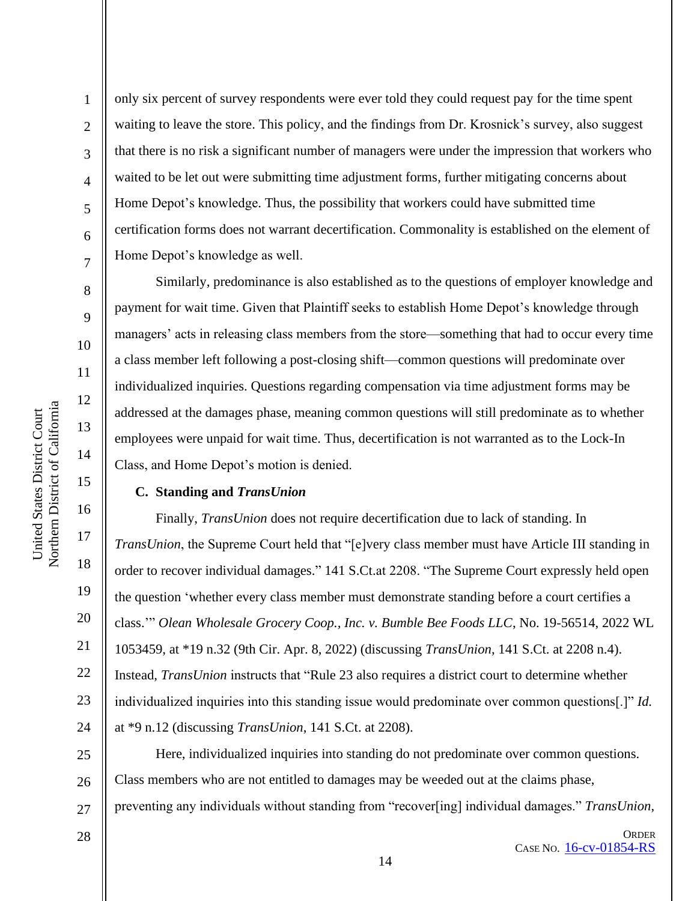2

3

4

5

6

7

8

9

10

11

12

13

14

15

16

17

18

19

20

21

22

23

24

only six percent of survey respondents were ever told they could request pay for the time spent waiting to leave the store. This policy, and the findings from Dr. Krosnick's survey, also suggest that there is no risk a significant number of managers were under the impression that workers who waited to be let out were submitting time adjustment forms, further mitigating concerns about Home Depot's knowledge. Thus, the possibility that workers could have submitted time certification forms does not warrant decertification. Commonality is established on the element of Home Depot's knowledge as well.

Similarly, predominance is also established as to the questions of employer knowledge and payment for wait time. Given that Plaintiff seeks to establish Home Depot's knowledge through managers' acts in releasing class members from the store—something that had to occur every time a class member left following a post-closing shift—common questions will predominate over individualized inquiries. Questions regarding compensation via time adjustment forms may be addressed at the damages phase, meaning common questions will still predominate as to whether employees were unpaid for wait time. Thus, decertification is not warranted as to the Lock-In Class, and Home Depot's motion is denied.

#### **C. Standing and** *TransUnion*

Finally, *TransUnion* does not require decertification due to lack of standing. In *TransUnion*, the Supreme Court held that "[e]very class member must have Article III standing in order to recover individual damages." 141 S.Ct.at 2208. "The Supreme Court expressly held open the question 'whether every class member must demonstrate standing before a court certifies a class.'" *Olean Wholesale Grocery Coop., Inc. v. Bumble Bee Foods LLC*, No. 19-56514, 2022 WL 1053459, at \*19 n.32 (9th Cir. Apr. 8, 2022) (discussing *TransUnion*, 141 S.Ct. at 2208 n.4). Instead, *TransUnion* instructs that "Rule 23 also requires a district court to determine whether individualized inquiries into this standing issue would predominate over common questions[.]" *Id.* at \*9 n.12 (discussing *TransUnion*, 141 S.Ct. at 2208).

25 26 27 Here, individualized inquiries into standing do not predominate over common questions. Class members who are not entitled to damages may be weeded out at the claims phase, preventing any individuals without standing from "recover[ing] individual damages." *TransUnion*,